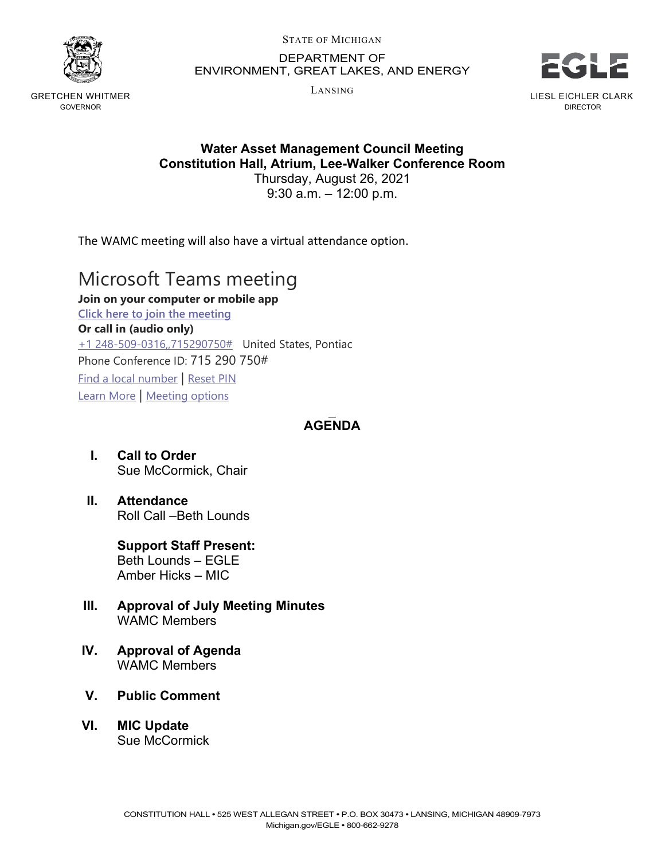

GRETCHEN WHITMER GOVERNOR

STATE OF MICHIGAN

DEPARTMENT OF ENVIRONMENT, GREAT LAKES, AND ENERGY

LANSING



**Water Asset Management Council Meeting Constitution Hall, Atrium, Lee-Walker Conference Room**

Thursday, August 26, 2021 9:30 a.m. – 12:00 p.m.

The WAMC meeting will also have a virtual attendance option.

## Microsoft Teams meeting

**Join on your computer or mobile app [Click here to join the meeting](https://teams.microsoft.com/l/meetup-join/19%3ameeting_NjM2ZTM2ODctOTc3Zi00MzU3LTk2MDEtZDc3N2U2Yzg1Mzc1%40thread.v2/0?context=%7b%22Tid%22%3a%22d5fb7087-3777-42ad-966a-892ef47225d1%22%2c%22Oid%22%3a%22fcc26bc2-91df-4348-8163-65754e0acf88%22%7d) Or call in (audio only)** [+1 248-509-0316,,715290750#](tel:+12485090316,,715290750#%20) United States, Pontiac Phone Conference ID: 715 290 750# [Find a local number](https://dialin.teams.microsoft.com/95e14c4b-c14d-430f-a556-75831bdf54bf?id=715290750) | [Reset PIN](https://mysettings.lync.com/pstnconferencing) [Learn More](https://aka.ms/JoinTeamsMeeting) | [Meeting options](https://teams.microsoft.com/meetingOptions/?organizerId=fcc26bc2-91df-4348-8163-65754e0acf88&tenantId=d5fb7087-3777-42ad-966a-892ef47225d1&threadId=19_meeting_NjM2ZTM2ODctOTc3Zi00MzU3LTk2MDEtZDc3N2U2Yzg1Mzc1@thread.v2&messageId=0&language=en-US)

## $\overline{\phantom{a}}$ **AGENDA**

- **I. Call to Order** Sue McCormick, Chair
- **II. Attendance** Roll Call –Beth Lounds

**Support Staff Present:** Beth Lounds – EGLE Amber Hicks – MIC

- **III. Approval of July Meeting Minutes** WAMC Members
- **IV. Approval of Agenda** WAMC Members
- **V. Public Comment**
- **VI. MIC Update** Sue McCormick